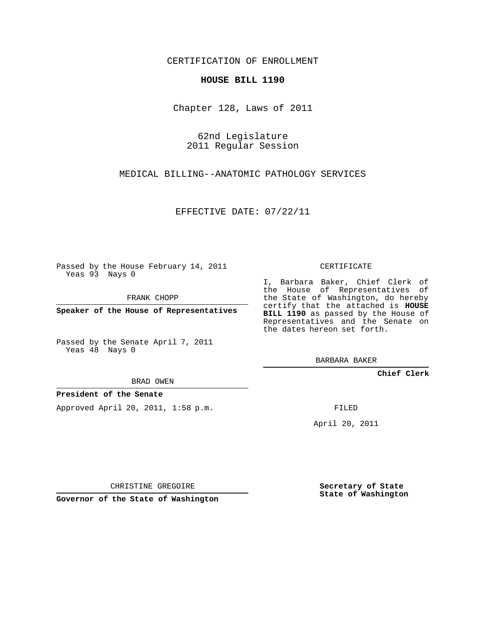CERTIFICATION OF ENROLLMENT

## **HOUSE BILL 1190**

Chapter 128, Laws of 2011

62nd Legislature 2011 Regular Session

MEDICAL BILLING--ANATOMIC PATHOLOGY SERVICES

EFFECTIVE DATE: 07/22/11

Passed by the House February 14, 2011 Yeas 93 Nays 0

FRANK CHOPP

**Speaker of the House of Representatives**

Passed by the Senate April 7, 2011 Yeas 48 Nays 0

BRAD OWEN

## **President of the Senate**

Approved April 20, 2011, 1:58 p.m.

CERTIFICATE

I, Barbara Baker, Chief Clerk of the House of Representatives of the State of Washington, do hereby certify that the attached is **HOUSE BILL 1190** as passed by the House of Representatives and the Senate on the dates hereon set forth.

BARBARA BAKER

**Chief Clerk**

FILED

April 20, 2011

CHRISTINE GREGOIRE

**Governor of the State of Washington**

**Secretary of State State of Washington**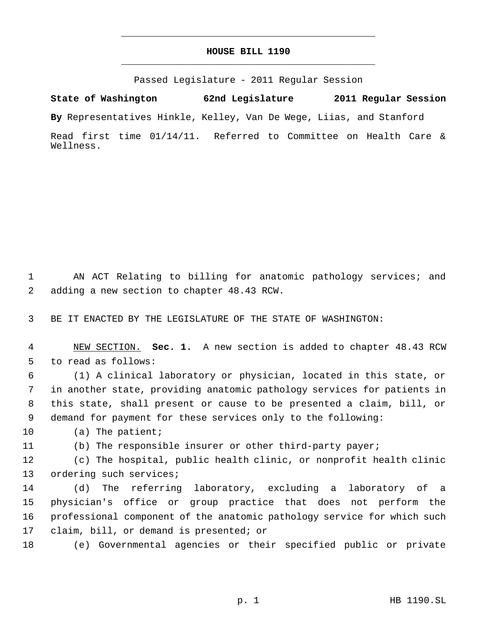## **HOUSE BILL 1190** \_\_\_\_\_\_\_\_\_\_\_\_\_\_\_\_\_\_\_\_\_\_\_\_\_\_\_\_\_\_\_\_\_\_\_\_\_\_\_\_\_\_\_\_\_

\_\_\_\_\_\_\_\_\_\_\_\_\_\_\_\_\_\_\_\_\_\_\_\_\_\_\_\_\_\_\_\_\_\_\_\_\_\_\_\_\_\_\_\_\_

Passed Legislature - 2011 Regular Session

**State of Washington 62nd Legislature 2011 Regular Session By** Representatives Hinkle, Kelley, Van De Wege, Liias, and Stanford Read first time 01/14/11. Referred to Committee on Health Care &

 AN ACT Relating to billing for anatomic pathology services; and adding a new section to chapter 48.43 RCW.

BE IT ENACTED BY THE LEGISLATURE OF THE STATE OF WASHINGTON:

 NEW SECTION. **Sec. 1.** A new section is added to chapter 48.43 RCW to read as follows:

 (1) A clinical laboratory or physician, located in this state, or in another state, providing anatomic pathology services for patients in this state, shall present or cause to be presented a claim, bill, or demand for payment for these services only to the following:

(a) The patient;

Wellness.

(b) The responsible insurer or other third-party payer;

 (c) The hospital, public health clinic, or nonprofit health clinic ordering such services;

 (d) The referring laboratory, excluding a laboratory of a physician's office or group practice that does not perform the professional component of the anatomic pathology service for which such claim, bill, or demand is presented; or

(e) Governmental agencies or their specified public or private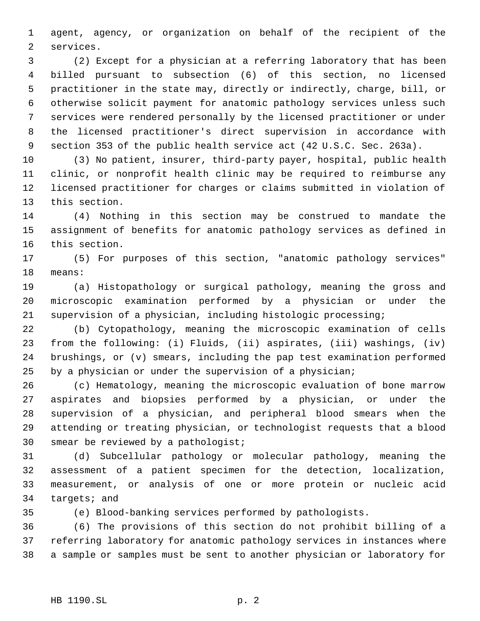agent, agency, or organization on behalf of the recipient of the services.

 (2) Except for a physician at a referring laboratory that has been billed pursuant to subsection (6) of this section, no licensed practitioner in the state may, directly or indirectly, charge, bill, or otherwise solicit payment for anatomic pathology services unless such services were rendered personally by the licensed practitioner or under the licensed practitioner's direct supervision in accordance with section 353 of the public health service act (42 U.S.C. Sec. 263a).

 (3) No patient, insurer, third-party payer, hospital, public health clinic, or nonprofit health clinic may be required to reimburse any licensed practitioner for charges or claims submitted in violation of this section.

 (4) Nothing in this section may be construed to mandate the assignment of benefits for anatomic pathology services as defined in this section.

 (5) For purposes of this section, "anatomic pathology services" means:

 (a) Histopathology or surgical pathology, meaning the gross and microscopic examination performed by a physician or under the supervision of a physician, including histologic processing;

 (b) Cytopathology, meaning the microscopic examination of cells from the following: (i) Fluids, (ii) aspirates, (iii) washings, (iv) brushings, or (v) smears, including the pap test examination performed by a physician or under the supervision of a physician;

 (c) Hematology, meaning the microscopic evaluation of bone marrow aspirates and biopsies performed by a physician, or under the supervision of a physician, and peripheral blood smears when the attending or treating physician, or technologist requests that a blood smear be reviewed by a pathologist;

 (d) Subcellular pathology or molecular pathology, meaning the assessment of a patient specimen for the detection, localization, measurement, or analysis of one or more protein or nucleic acid targets; and

(e) Blood-banking services performed by pathologists.

 (6) The provisions of this section do not prohibit billing of a referring laboratory for anatomic pathology services in instances where a sample or samples must be sent to another physician or laboratory for